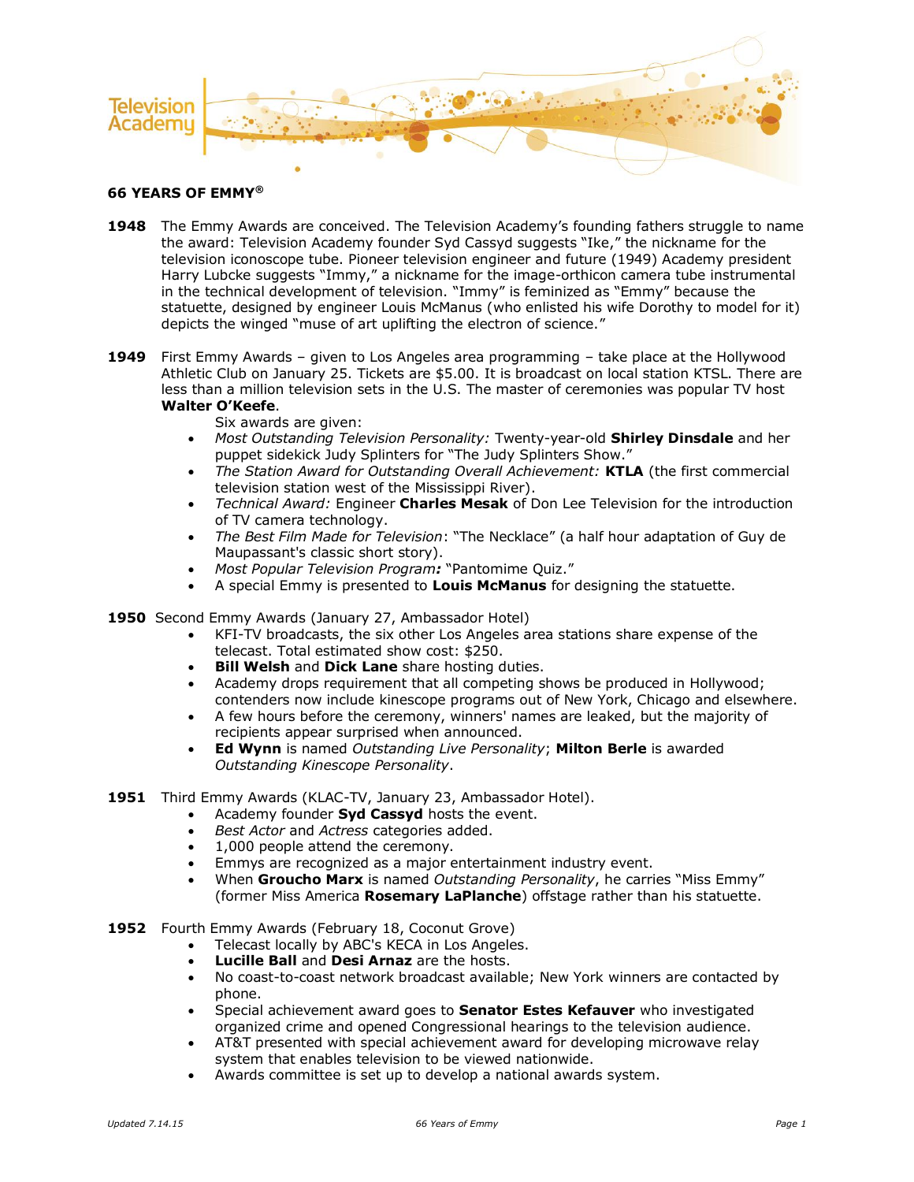

## **66 YEARS OF EMMY®**

- **1948** The Emmy Awards are conceived. The Television Academy's founding fathers struggle to name the award: Television Academy founder Syd Cassyd suggests "Ike," the nickname for the television iconoscope tube. Pioneer television engineer and future (1949) Academy president Harry Lubcke suggests "Immy," a nickname for the image-orthicon camera tube instrumental in the technical development of television. "Immy" is feminized as "Emmy" because the statuette, designed by engineer Louis McManus (who enlisted his wife Dorothy to model for it) depicts the winged "muse of art uplifting the electron of science."
- **1949** First Emmy Awards given to Los Angeles area programming take place at the Hollywood Athletic Club on January 25. Tickets are \$5.00. It is broadcast on local station KTSL. There are less than a million television sets in the U.S. The master of ceremonies was popular TV host **Walter O'Keefe**.

## Six awards are given:

- *Most Outstanding Television Personality:* Twenty-year-old **Shirley Dinsdale** and her puppet sidekick Judy Splinters for "The Judy Splinters Show."
- *The Station Award for Outstanding Overall Achievement:* **KTLA** (the first commercial television station west of the Mississippi River).
- *Technical Award:* Engineer **Charles Mesak** of Don Lee Television for the introduction of TV camera technology.
- *The Best Film Made for Television*: "The Necklace" (a half hour adaptation of Guy de Maupassant's classic short story).
- *Most Popular Television Program:* "Pantomime Quiz."
- A special Emmy is presented to **Louis McManus** for designing the statuette.
- **1950** Second Emmy Awards (January 27, Ambassador Hotel)
	- KFI-TV broadcasts, the six other Los Angeles area stations share expense of the telecast. Total estimated show cost: \$250.
	- **Bill Welsh** and **Dick Lane** share hosting duties.
	- Academy drops requirement that all competing shows be produced in Hollywood; contenders now include kinescope programs out of New York, Chicago and elsewhere.
	- A few hours before the ceremony, winners' names are leaked, but the majority of recipients appear surprised when announced.
	- **Ed Wynn** is named *Outstanding Live Personality*; **Milton Berle** is awarded *Outstanding Kinescope Personality*.

## **1951** Third Emmy Awards (KLAC-TV, January 23, Ambassador Hotel).

- Academy founder **Syd Cassyd** hosts the event.
- *Best Actor* and *Actress* categories added.
- 1,000 people attend the ceremony.
- Emmys are recognized as a major entertainment industry event.
- When **Groucho Marx** is named *Outstanding Personality*, he carries "Miss Emmy" (former Miss America **Rosemary LaPlanche**) offstage rather than his statuette.
- **1952** Fourth Emmy Awards (February 18, Coconut Grove)
	- Telecast locally by ABC's KECA in Los Angeles.
	- **Lucille Ball** and **Desi Arnaz** are the hosts.
	- No coast-to-coast network broadcast available; New York winners are contacted by phone.
	- Special achievement award goes to **Senator Estes Kefauver** who investigated organized crime and opened Congressional hearings to the television audience.
	- AT&T presented with special achievement award for developing microwave relay system that enables television to be viewed nationwide.
	- Awards committee is set up to develop a national awards system.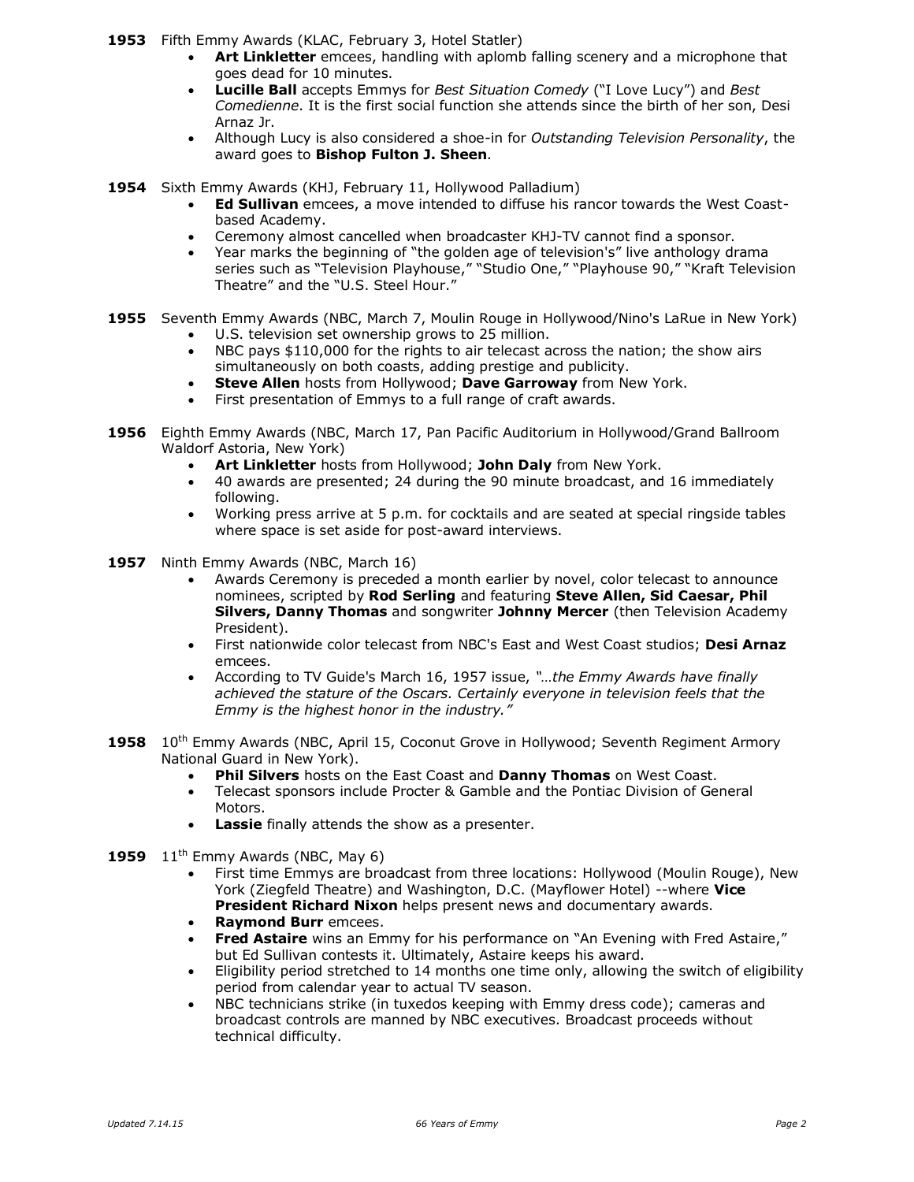**1953** Fifth Emmy Awards (KLAC, February 3, Hotel Statler)

- **Art Linkletter** emcees, handling with aplomb falling scenery and a microphone that goes dead for 10 minutes.
- **Lucille Ball** accepts Emmys for *Best Situation Comedy* ("I Love Lucy") and *Best Comedienne*. It is the first social function she attends since the birth of her son, Desi Arnaz Jr.
- Although Lucy is also considered a shoe-in for *Outstanding Television Personality*, the award goes to **Bishop Fulton J. Sheen**.
- **1954** Sixth Emmy Awards (KHJ, February 11, Hollywood Palladium)
	- **Ed Sullivan** emcees, a move intended to diffuse his rancor towards the West Coastbased Academy.
	- Ceremony almost cancelled when broadcaster KHJ-TV cannot find a sponsor.
	- Year marks the beginning of "the golden age of television's" live anthology drama series such as "Television Playhouse," "Studio One," "Playhouse 90," "Kraft Television Theatre" and the "U.S. Steel Hour."
- **1955** Seventh Emmy Awards (NBC, March 7, Moulin Rouge in Hollywood/Nino's LaRue in New York) U.S. television set ownership grows to 25 million.
	- NBC pays \$110,000 for the rights to air telecast across the nation; the show airs simultaneously on both coasts, adding prestige and publicity.
	- **Steve Allen** hosts from Hollywood; **Dave Garroway** from New York.
	- First presentation of Emmys to a full range of craft awards.
- **1956** Eighth Emmy Awards (NBC, March 17, Pan Pacific Auditorium in Hollywood/Grand Ballroom Waldorf Astoria, New York)
	- **Art Linkletter** hosts from Hollywood; **John Daly** from New York.
	- 40 awards are presented; 24 during the 90 minute broadcast, and 16 immediately following.
	- Working press arrive at 5 p.m. for cocktails and are seated at special ringside tables where space is set aside for post-award interviews.
- **1957** Ninth Emmy Awards (NBC, March 16)
	- Awards Ceremony is preceded a month earlier by novel, color telecast to announce nominees, scripted by **Rod Serling** and featuring **Steve Allen, Sid Caesar, Phil Silvers, Danny Thomas** and songwriter **Johnny Mercer** (then Television Academy President).
	- First nationwide color telecast from NBC's East and West Coast studios; **Desi Arnaz** emcees.
	- According to TV Guide's March 16, 1957 issue, *"…the Emmy Awards have finally achieved the stature of the Oscars. Certainly everyone in television feels that the Emmy is the highest honor in the industry."*
- **1958** 10<sup>th</sup> Emmy Awards (NBC, April 15, Coconut Grove in Hollywood; Seventh Regiment Armory National Guard in New York).
	- **Phil Silvers** hosts on the East Coast and **Danny Thomas** on West Coast.
	- Telecast sponsors include Procter & Gamble and the Pontiac Division of General Motors.
	- **Lassie** finally attends the show as a presenter.
- **1959** 11<sup>th</sup> Emmy Awards (NBC, May 6)
	- First time Emmys are broadcast from three locations: Hollywood (Moulin Rouge), New York (Ziegfeld Theatre) and Washington, D.C. (Mayflower Hotel) --where **Vice President Richard Nixon** helps present news and documentary awards.
	- **Raymond Burr** emcees.
	- **Fred Astaire** wins an Emmy for his performance on "An Evening with Fred Astaire," but Ed Sullivan contests it. Ultimately, Astaire keeps his award.
	- Eligibility period stretched to 14 months one time only, allowing the switch of eligibility period from calendar year to actual TV season.
	- NBC technicians strike (in tuxedos keeping with Emmy dress code); cameras and broadcast controls are manned by NBC executives. Broadcast proceeds without technical difficulty.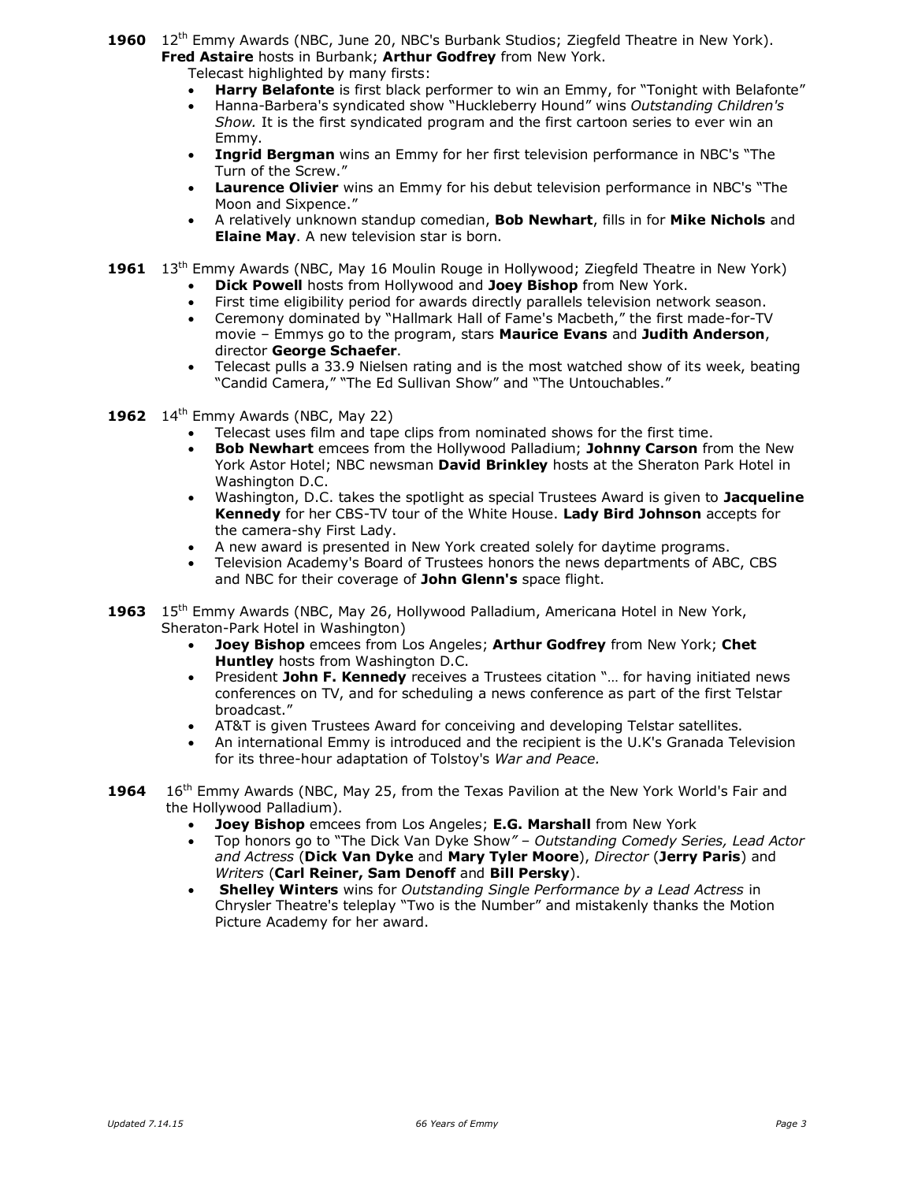1960 12<sup>th</sup> Emmy Awards (NBC, June 20, NBC's Burbank Studios; Ziegfeld Theatre in New York). **Fred Astaire** hosts in Burbank; **Arthur Godfrey** from New York.

Telecast highlighted by many firsts:

- **Harry Belafonte** is first black performer to win an Emmy, for "Tonight with Belafonte"
- Hanna-Barbera's syndicated show "Huckleberry Hound" wins *Outstanding Children's Show.* It is the first syndicated program and the first cartoon series to ever win an Emmy.
- **Ingrid Bergman** wins an Emmy for her first television performance in NBC's "The Turn of the Screw."
- **Laurence Olivier** wins an Emmy for his debut television performance in NBC's "The Moon and Sixpence."
- A relatively unknown standup comedian, **Bob Newhart**, fills in for **Mike Nichols** and **Elaine May**. A new television star is born.
- 1961 13<sup>th</sup> Emmy Awards (NBC, May 16 Moulin Rouge in Hollywood; Ziegfeld Theatre in New York)
	- **Dick Powell** hosts from Hollywood and **Joey Bishop** from New York.
	- First time eligibility period for awards directly parallels television network season.
	- Ceremony dominated by "Hallmark Hall of Fame's Macbeth," the first made-for-TV movie – Emmys go to the program, stars **Maurice Evans** and **Judith Anderson**, director **George Schaefer**.
	- Telecast pulls a 33.9 Nielsen rating and is the most watched show of its week, beating "Candid Camera," "The Ed Sullivan Show" and "The Untouchables."
- **1962** 14<sup>th</sup> Emmy Awards (NBC, May 22)
	- Telecast uses film and tape clips from nominated shows for the first time.
	- **Bob Newhart** emcees from the Hollywood Palladium; **Johnny Carson** from the New York Astor Hotel; NBC newsman **David Brinkley** hosts at the Sheraton Park Hotel in Washington D.C.
	- Washington, D.C. takes the spotlight as special Trustees Award is given to **Jacqueline Kennedy** for her CBS-TV tour of the White House. **Lady Bird Johnson** accepts for the camera-shy First Lady.
	- A new award is presented in New York created solely for daytime programs.
	- Television Academy's Board of Trustees honors the news departments of ABC, CBS and NBC for their coverage of **John Glenn's** space flight.
- **1963** 15th Emmy Awards (NBC, May 26, Hollywood Palladium, Americana Hotel in New York, Sheraton-Park Hotel in Washington)
	- **Joey Bishop** emcees from Los Angeles; **Arthur Godfrey** from New York; **Chet Huntley** hosts from Washington D.C.
	- President **John F. Kennedy** receives a Trustees citation "… for having initiated news conferences on TV, and for scheduling a news conference as part of the first Telstar broadcast."
	- AT&T is given Trustees Award for conceiving and developing Telstar satellites.
	- An international Emmy is introduced and the recipient is the U.K's Granada Television for its three-hour adaptation of Tolstoy's *War and Peace.*
- **1964** 16th Emmy Awards (NBC, May 25, from the Texas Pavilion at the New York World's Fair and the Hollywood Palladium).
	- **Joey Bishop** emcees from Los Angeles; **E.G. Marshall** from New York
	- Top honors go to "The Dick Van Dyke Show*" Outstanding Comedy Series, Lead Actor and Actress* (**Dick Van Dyke** and **Mary Tyler Moore**), *Director* (**Jerry Paris**) and *Writers* (**Carl Reiner, Sam Denoff** and **Bill Persky**).
	- **Shelley Winters** wins for *Outstanding Single Performance by a Lead Actress* in Chrysler Theatre's teleplay "Two is the Number" and mistakenly thanks the Motion Picture Academy for her award.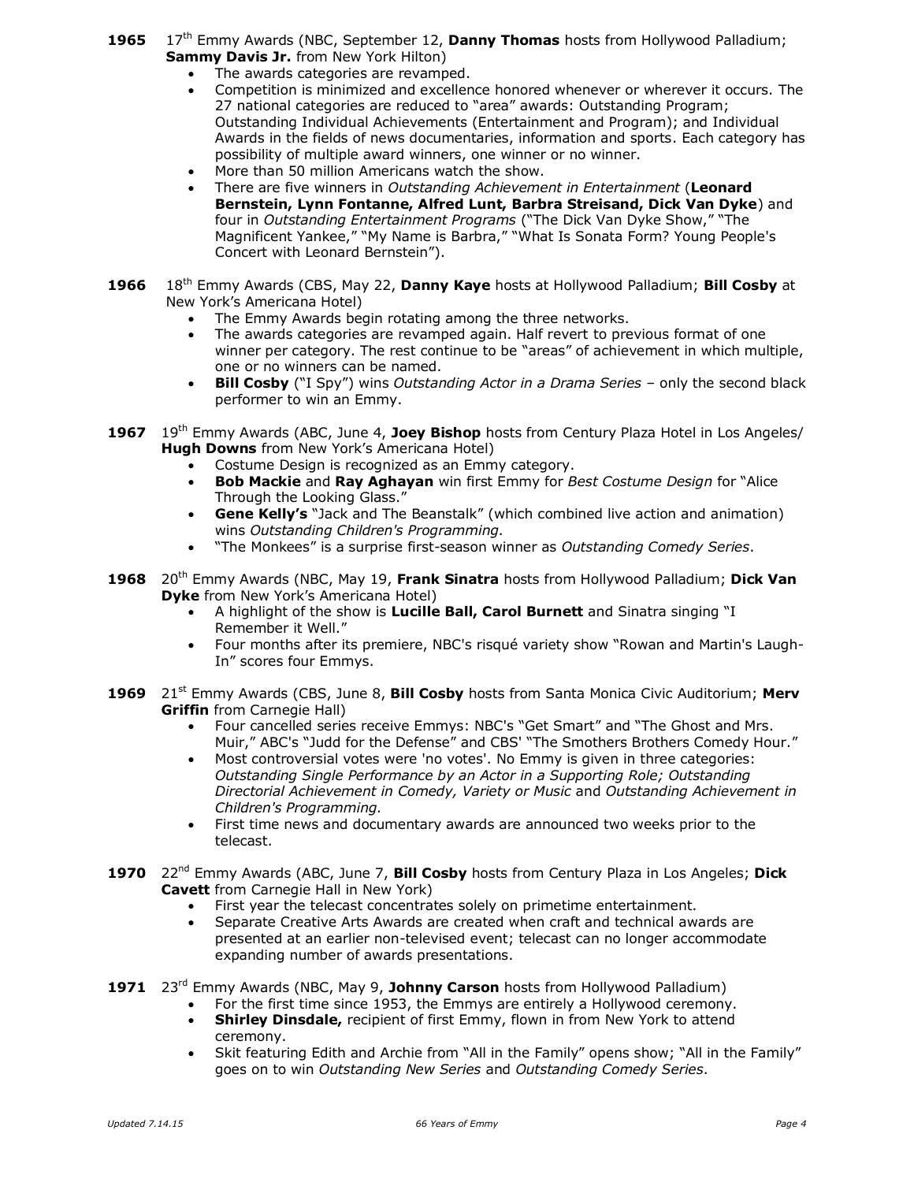- **1965** 17th Emmy Awards (NBC, September 12, **Danny Thomas** hosts from Hollywood Palladium; **Sammy Davis Jr.** from New York Hilton)
	- The awards categories are revamped.
	- Competition is minimized and excellence honored whenever or wherever it occurs. The 27 national categories are reduced to "area" awards: Outstanding Program; Outstanding Individual Achievements (Entertainment and Program); and Individual Awards in the fields of news documentaries, information and sports. Each category has possibility of multiple award winners, one winner or no winner.
	- More than 50 million Americans watch the show.
	- There are five winners in *Outstanding Achievement in Entertainment* (**Leonard Bernstein, Lynn Fontanne, Alfred Lunt, Barbra Streisand, Dick Van Dyke**) and four in *Outstanding Entertainment Programs* ("The Dick Van Dyke Show," "The Magnificent Yankee," "My Name is Barbra," "What Is Sonata Form? Young People's Concert with Leonard Bernstein").
- **1966** 18th Emmy Awards (CBS, May 22, **Danny Kaye** hosts at Hollywood Palladium; **Bill Cosby** at New York's Americana Hotel)
	- The Emmy Awards begin rotating among the three networks.
	- The awards categories are revamped again. Half revert to previous format of one winner per category. The rest continue to be "areas" of achievement in which multiple, one or no winners can be named.
	- **Bill Cosby** ("I Spy") wins *Outstanding Actor in a Drama Series* only the second black performer to win an Emmy.
- **1967** 19th Emmy Awards (ABC, June 4, **Joey Bishop** hosts from Century Plaza Hotel in Los Angeles/ **Hugh Downs** from New York's Americana Hotel)
	- Costume Design is recognized as an Emmy category.
	- **Bob Mackie** and **Ray Aghayan** win first Emmy for *Best Costume Design* for "Alice Through the Looking Glass."
	- **Gene Kelly's** "Jack and The Beanstalk" (which combined live action and animation) wins *Outstanding Children's Programming.*
	- "The Monkees" is a surprise first-season winner as *Outstanding Comedy Series*.
- **1968** 20th Emmy Awards (NBC, May 19, **Frank Sinatra** hosts from Hollywood Palladium; **Dick Van Dyke** from New York's Americana Hotel)
	- A highlight of the show is **Lucille Ball, Carol Burnett** and Sinatra singing "I Remember it Well."
	- Four months after its premiere, NBC's risqué variety show "Rowan and Martin's Laugh-In" scores four Emmys.
- **1969** 21st Emmy Awards (CBS, June 8, **Bill Cosby** hosts from Santa Monica Civic Auditorium; **Merv Griffin** from Carnegie Hall)
	- Four cancelled series receive Emmys: NBC's "Get Smart" and "The Ghost and Mrs. Muir," ABC's "Judd for the Defense" and CBS' "The Smothers Brothers Comedy Hour."
	- Most controversial votes were 'no votes'. No Emmy is given in three categories: *Outstanding Single Performance by an Actor in a Supporting Role; Outstanding Directorial Achievement in Comedy, Variety or Music* and *Outstanding Achievement in Children's Programming.*
	- First time news and documentary awards are announced two weeks prior to the telecast.
- **1970** 22nd Emmy Awards (ABC, June 7, **Bill Cosby** hosts from Century Plaza in Los Angeles; **Dick Cavett** from Carnegie Hall in New York)
	- First year the telecast concentrates solely on primetime entertainment.
	- Separate Creative Arts Awards are created when craft and technical awards are presented at an earlier non-televised event; telecast can no longer accommodate expanding number of awards presentations.
- **1971** 23rd Emmy Awards (NBC, May 9, **Johnny Carson** hosts from Hollywood Palladium)
	- For the first time since 1953, the Emmys are entirely a Hollywood ceremony. **Shirley Dinsdale,** recipient of first Emmy, flown in from New York to attend
		- ceremony.
		- Skit featuring Edith and Archie from "All in the Family" opens show; "All in the Family" goes on to win *Outstanding New Series* and *Outstanding Comedy Series*.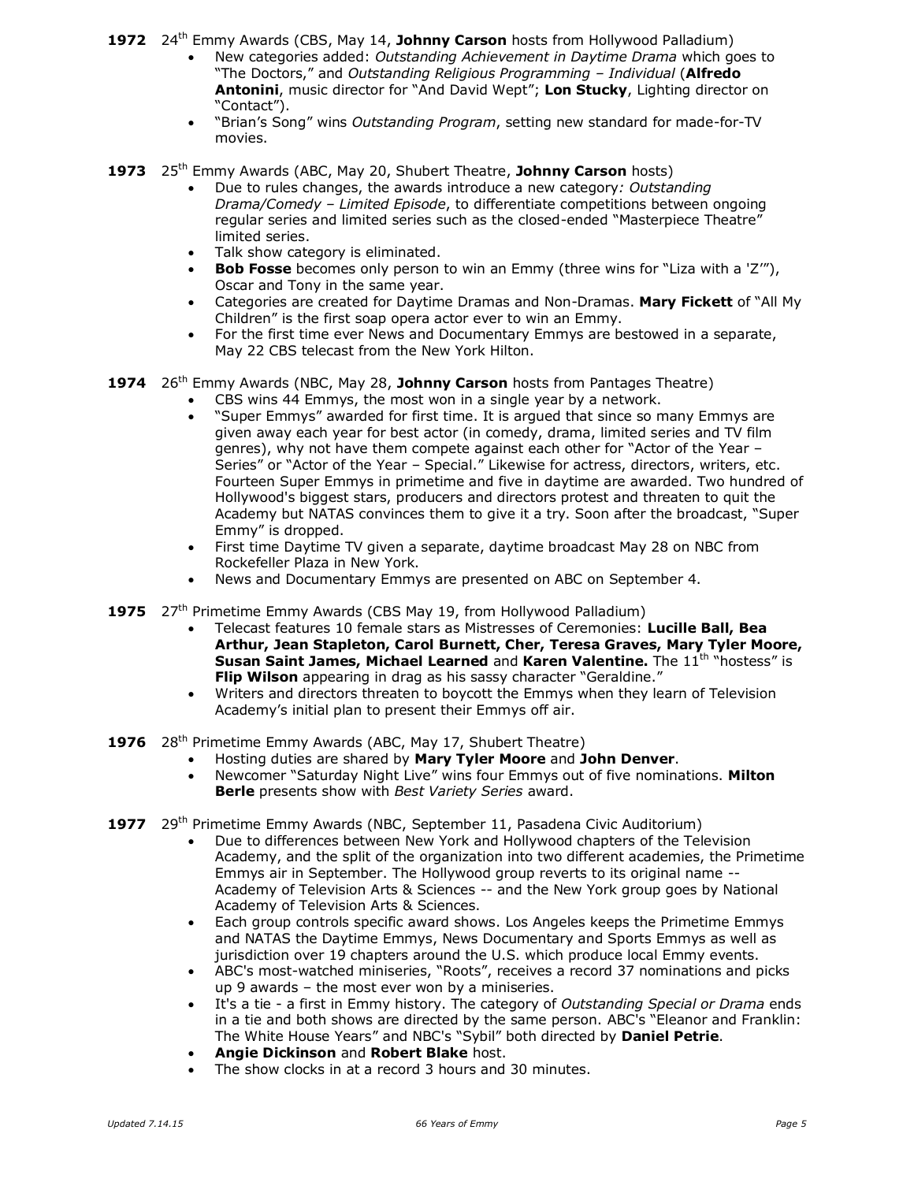1972 24<sup>th</sup> Emmy Awards (CBS, May 14, Johnny Carson hosts from Hollywood Palladium)

- New categories added: *Outstanding Achievement in Daytime Drama* which goes to "The Doctors," and *Outstanding Religious Programming – Individual* (**Alfredo Antonini**, music director for "And David Wept"; **Lon Stucky**, Lighting director on "Contact").
- "Brian's Song" wins *Outstanding Program*, setting new standard for made-for-TV movies.
- **1973** 25th Emmy Awards (ABC, May 20, Shubert Theatre, **Johnny Carson** hosts)
	- Due to rules changes, the awards introduce a new category*: Outstanding Drama/Comedy – Limited Episode*, to differentiate competitions between ongoing regular series and limited series such as the closed-ended "Masterpiece Theatre" limited series.
	- Talk show category is eliminated.
	- **Bob Fosse** becomes only person to win an Emmy (three wins for "Liza with a 'Z'"), Oscar and Tony in the same year.
	- Categories are created for Daytime Dramas and Non-Dramas. **Mary Fickett** of "All My Children" is the first soap opera actor ever to win an Emmy.
	- For the first time ever News and Documentary Emmys are bestowed in a separate, May 22 CBS telecast from the New York Hilton.

## **1974** 26th Emmy Awards (NBC, May 28, **Johnny Carson** hosts from Pantages Theatre)

- CBS wins 44 Emmys, the most won in a single year by a network.
- "Super Emmys" awarded for first time. It is argued that since so many Emmys are given away each year for best actor (in comedy, drama, limited series and TV film genres), why not have them compete against each other for "Actor of the Year – Series" or "Actor of the Year – Special." Likewise for actress, directors, writers, etc. Fourteen Super Emmys in primetime and five in daytime are awarded. Two hundred of Hollywood's biggest stars, producers and directors protest and threaten to quit the Academy but NATAS convinces them to give it a try. Soon after the broadcast, "Super Emmy" is dropped.
- First time Daytime TV given a separate, daytime broadcast May 28 on NBC from Rockefeller Plaza in New York.
- News and Documentary Emmys are presented on ABC on September 4.
- **1975** 27<sup>th</sup> Primetime Emmy Awards (CBS May 19, from Hollywood Palladium)
	- Telecast features 10 female stars as Mistresses of Ceremonies: **Lucille Ball, Bea Arthur, Jean Stapleton, Carol Burnett, Cher, Teresa Graves, Mary Tyler Moore, Susan Saint James, Michael Learned** and Karen Valentine. The 11<sup>th "h</sup>ostess" is **Flip Wilson** appearing in drag as his sassy character "Geraldine."
	- Writers and directors threaten to boycott the Emmys when they learn of Television Academy's initial plan to present their Emmys off air.
- **1976** 28<sup>th</sup> Primetime Emmy Awards (ABC, May 17, Shubert Theatre)
	- Hosting duties are shared by **Mary Tyler Moore** and **John Denver**.
	- Newcomer "Saturday Night Live" wins four Emmys out of five nominations. **Milton Berle** presents show with *Best Variety Series* award.
- **1977** 29th Primetime Emmy Awards (NBC, September 11, Pasadena Civic Auditorium)
	- Due to differences between New York and Hollywood chapters of the Television Academy, and the split of the organization into two different academies, the Primetime Emmys air in September. The Hollywood group reverts to its original name -- Academy of Television Arts & Sciences -- and the New York group goes by National Academy of Television Arts & Sciences.
	- Each group controls specific award shows. Los Angeles keeps the Primetime Emmys and NATAS the Daytime Emmys, News Documentary and Sports Emmys as well as jurisdiction over 19 chapters around the U.S. which produce local Emmy events.
	- ABC's most-watched miniseries, "Roots", receives a record 37 nominations and picks up 9 awards – the most ever won by a miniseries.
	- It's a tie a first in Emmy history. The category of *Outstanding Special or Drama* ends in a tie and both shows are directed by the same person. ABC's "Eleanor and Franklin: The White House Years" and NBC's "Sybil" both directed by **Daniel Petrie**.
	- **Angie Dickinson** and **Robert Blake** host.
	- The show clocks in at a record 3 hours and 30 minutes.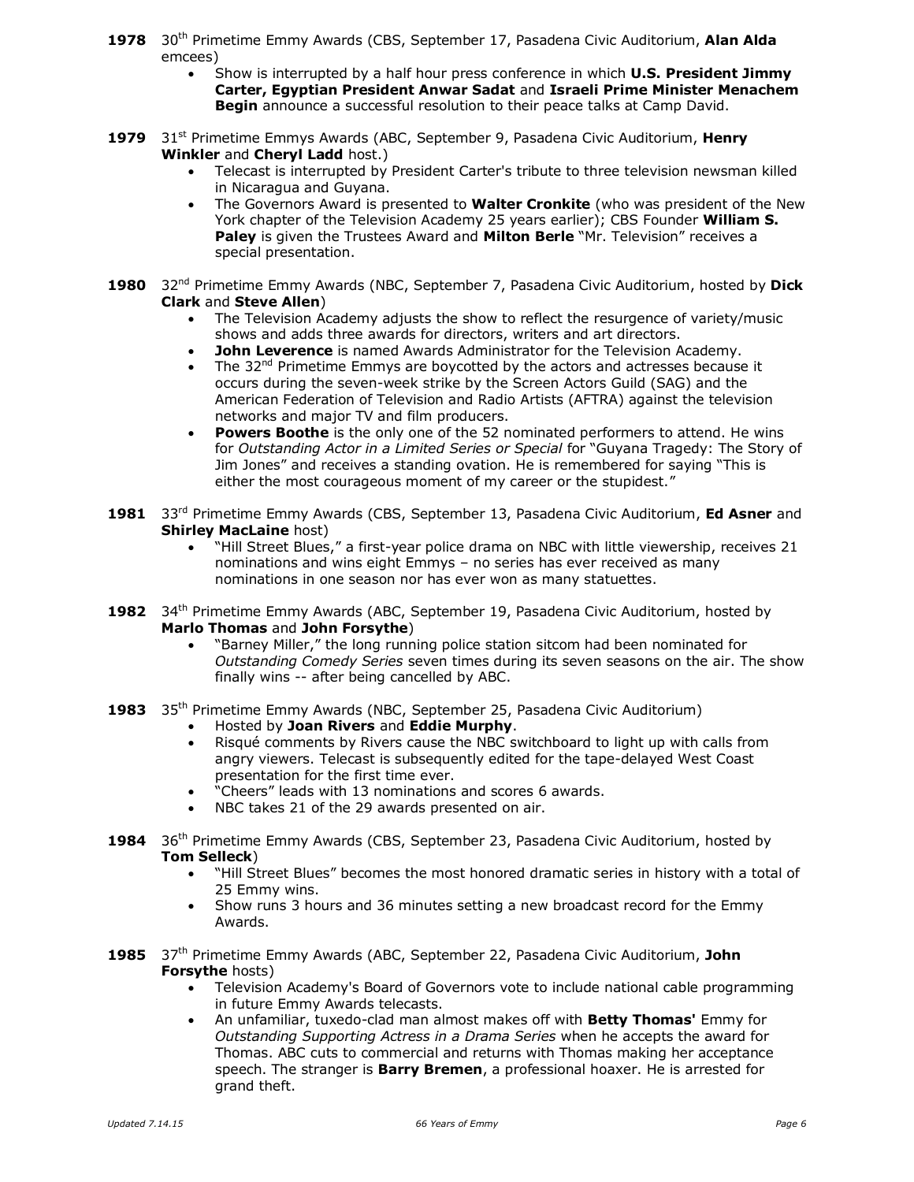- **1978** 30th Primetime Emmy Awards (CBS, September 17, Pasadena Civic Auditorium, **Alan Alda** emcees)
	- Show is interrupted by a half hour press conference in which **U.S. President Jimmy Carter, Egyptian President Anwar Sadat** and **Israeli Prime Minister Menachem Begin** announce a successful resolution to their peace talks at Camp David.
- **1979** 31st Primetime Emmys Awards (ABC, September 9, Pasadena Civic Auditorium, **Henry Winkler** and **Cheryl Ladd** host.)
	- Telecast is interrupted by President Carter's tribute to three television newsman killed in Nicaragua and Guyana.
	- The Governors Award is presented to **Walter Cronkite** (who was president of the New York chapter of the Television Academy 25 years earlier); CBS Founder **William S. Paley** is given the Trustees Award and **Milton Berle** "Mr. Television" receives a special presentation.
- 1980 32<sup>nd</sup> Primetime Emmy Awards (NBC, September 7, Pasadena Civic Auditorium, hosted by Dick **Clark** and **Steve Allen**)
	- The Television Academy adjusts the show to reflect the resurgence of variety/music shows and adds three awards for directors, writers and art directors.
	- **John Leverence** is named Awards Administrator for the Television Academy.
	- The  $32<sup>nd</sup>$  Primetime Emmys are boycotted by the actors and actresses because it occurs during the seven-week strike by the Screen Actors Guild (SAG) and the American Federation of Television and Radio Artists (AFTRA) against the television networks and major TV and film producers.
	- **Powers Boothe** is the only one of the 52 nominated performers to attend. He wins for *Outstanding Actor in a Limited Series or Special* for "Guyana Tragedy: The Story of Jim Jones" and receives a standing ovation. He is remembered for saying "This is either the most courageous moment of my career or the stupidest."
- 1981 33<sup>rd</sup> Primetime Emmy Awards (CBS, September 13, Pasadena Civic Auditorium, Ed Asner and **Shirley MacLaine** host)
	- "Hill Street Blues," a first-year police drama on NBC with little viewership, receives 21 nominations and wins eight Emmys – no series has ever received as many nominations in one season nor has ever won as many statuettes.
- **1982** 34th Primetime Emmy Awards (ABC, September 19, Pasadena Civic Auditorium, hosted by **Marlo Thomas** and **John Forsythe**)
	- "Barney Miller," the long running police station sitcom had been nominated for *Outstanding Comedy Series* seven times during its seven seasons on the air. The show finally wins -- after being cancelled by ABC.
- 1983 35<sup>th</sup> Primetime Emmy Awards (NBC, September 25, Pasadena Civic Auditorium)
	- Hosted by **Joan Rivers** and **Eddie Murphy**.
	- Risqué comments by Rivers cause the NBC switchboard to light up with calls from angry viewers. Telecast is subsequently edited for the tape-delayed West Coast presentation for the first time ever.
	- "Cheers" leads with 13 nominations and scores 6 awards.
	- NBC takes 21 of the 29 awards presented on air.
- **1984** 36th Primetime Emmy Awards (CBS, September 23, Pasadena Civic Auditorium, hosted by **Tom Selleck**)
	- "Hill Street Blues" becomes the most honored dramatic series in history with a total of 25 Emmy wins.
	- Show runs 3 hours and 36 minutes setting a new broadcast record for the Emmy Awards.
- **1985** 37th Primetime Emmy Awards (ABC, September 22, Pasadena Civic Auditorium, **John Forsythe** hosts)
	- Television Academy's Board of Governors vote to include national cable programming in future Emmy Awards telecasts.
	- An unfamiliar, tuxedo-clad man almost makes off with **Betty Thomas'** Emmy for *Outstanding Supporting Actress in a Drama Series* when he accepts the award for Thomas. ABC cuts to commercial and returns with Thomas making her acceptance speech. The stranger is **Barry Bremen**, a professional hoaxer. He is arrested for grand theft.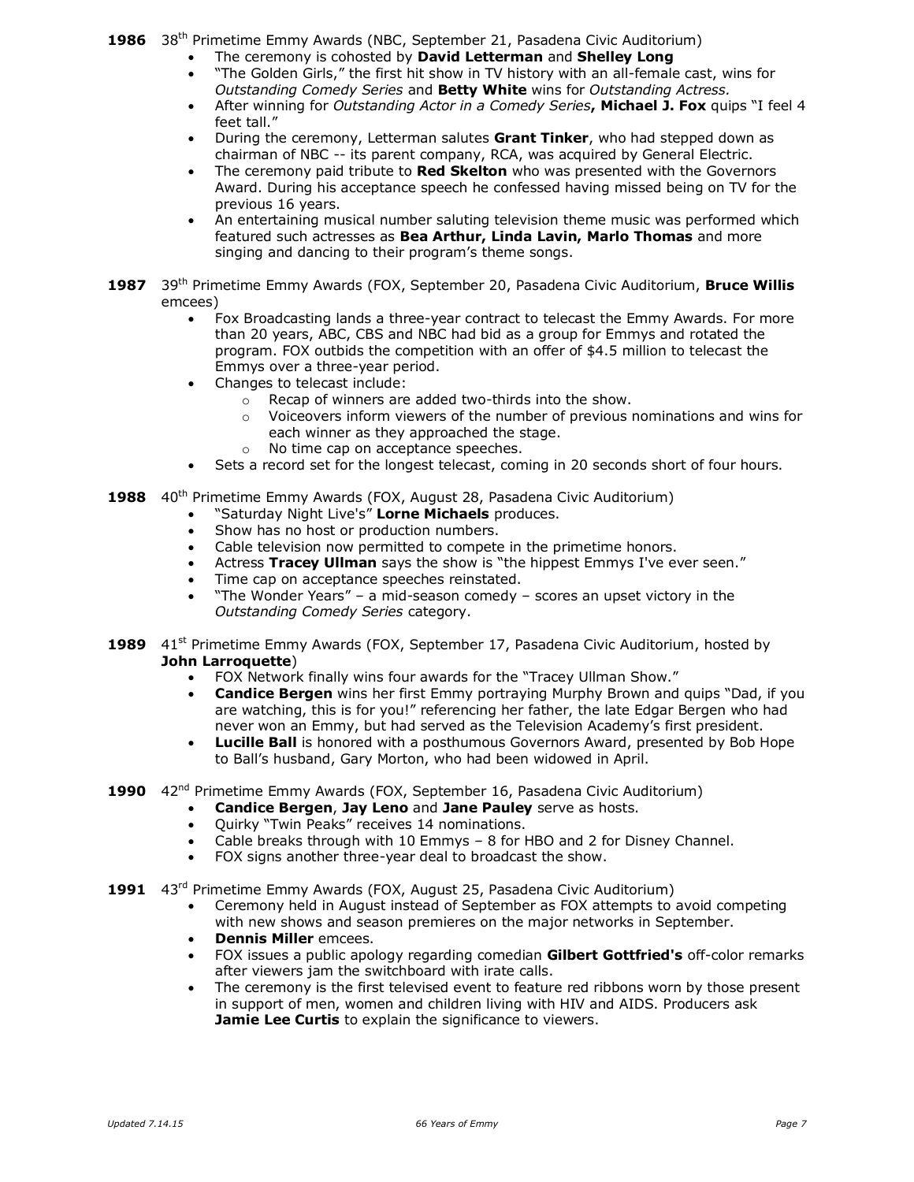1986 38<sup>th</sup> Primetime Emmy Awards (NBC, September 21, Pasadena Civic Auditorium)

- The ceremony is cohosted by **David Letterman** and **Shelley Long**
- "The Golden Girls," the first hit show in TV history with an all-female cast, wins for *Outstanding Comedy Series* and **Betty White** wins for *Outstanding Actress.*
- After winning for *Outstanding Actor in a Comedy Series***, Michael J. Fox** quips "I feel 4 feet tall."
- During the ceremony, Letterman salutes **Grant Tinker**, who had stepped down as chairman of NBC -- its parent company, RCA, was acquired by General Electric.
- The ceremony paid tribute to **Red Skelton** who was presented with the Governors Award. During his acceptance speech he confessed having missed being on TV for the previous 16 years.
- An entertaining musical number saluting television theme music was performed which featured such actresses as **Bea Arthur, Linda Lavin, Marlo Thomas** and more singing and dancing to their program's theme songs.
- **1987** 39th Primetime Emmy Awards (FOX, September 20, Pasadena Civic Auditorium, **Bruce Willis** emcees)
	- Fox Broadcasting lands a three-year contract to telecast the Emmy Awards. For more than 20 years, ABC, CBS and NBC had bid as a group for Emmys and rotated the program. FOX outbids the competition with an offer of \$4.5 million to telecast the Emmys over a three-year period.
	- Changes to telecast include:
		- o Recap of winners are added two-thirds into the show.
		- $\circ$  Voiceovers inform viewers of the number of previous nominations and wins for each winner as they approached the stage.
		- o No time cap on acceptance speeches.
	- Sets a record set for the longest telecast, coming in 20 seconds short of four hours.
- **1988** 40th Primetime Emmy Awards (FOX, August 28, Pasadena Civic Auditorium)
	- "Saturday Night Live's" **Lorne Michaels** produces.
	- Show has no host or production numbers.
	- Cable television now permitted to compete in the primetime honors.
	- Actress **Tracey Ullman** says the show is "the hippest Emmys I've ever seen."
	- Time cap on acceptance speeches reinstated.
	- "The Wonder Years" a mid-season comedy scores an upset victory in the *Outstanding Comedy Series* category.
- **1989** 41<sup>st</sup> Primetime Emmy Awards (FOX, September 17, Pasadena Civic Auditorium, hosted by **John Larroquette**)
	- FOX Network finally wins four awards for the "Tracey Ullman Show."
	- **Candice Bergen** wins her first Emmy portraying Murphy Brown and quips "Dad, if you are watching, this is for you!" referencing her father, the late Edgar Bergen who had never won an Emmy, but had served as the Television Academy's first president.
	- **Lucille Ball** is honored with a posthumous Governors Award, presented by Bob Hope to Ball's husband, Gary Morton, who had been widowed in April.
- 1990 42<sup>nd</sup> Primetime Emmy Awards (FOX, September 16, Pasadena Civic Auditorium)
	- **Candice Bergen**, **Jay Leno** and **Jane Pauley** serve as hosts.
		- Ouirky "Twin Peaks" receives 14 nominations.
		- Cable breaks through with 10 Emmys 8 for HBO and 2 for Disney Channel.
		- FOX signs another three-year deal to broadcast the show.
- **1991** 43rd Primetime Emmy Awards (FOX, August 25, Pasadena Civic Auditorium)
	- Ceremony held in August instead of September as FOX attempts to avoid competing with new shows and season premieres on the major networks in September.
	- **Dennis Miller** emcees.
	- FOX issues a public apology regarding comedian **Gilbert Gottfried's** off-color remarks after viewers jam the switchboard with irate calls.
	- The ceremony is the first televised event to feature red ribbons worn by those present in support of men, women and children living with HIV and AIDS. Producers ask **Jamie Lee Curtis** to explain the significance to viewers.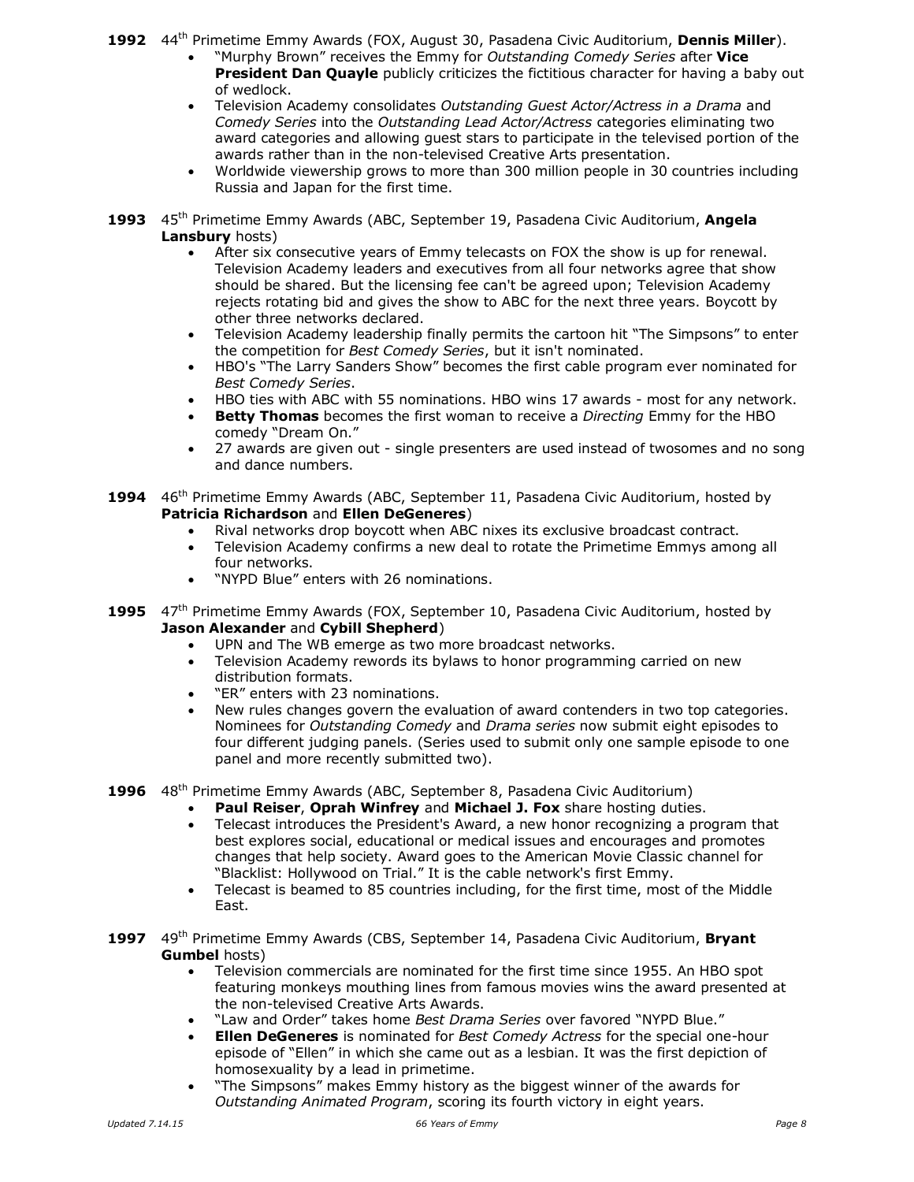**1992** 44th Primetime Emmy Awards (FOX, August 30, Pasadena Civic Auditorium, **Dennis Miller**).

- "Murphy Brown" receives the Emmy for *Outstanding Comedy Series* after **Vice President Dan Quayle** publicly criticizes the fictitious character for having a baby out of wedlock.
- Television Academy consolidates *Outstanding Guest Actor/Actress in a Drama* and *Comedy Series* into the *Outstanding Lead Actor/Actress* categories eliminating two award categories and allowing guest stars to participate in the televised portion of the awards rather than in the non-televised Creative Arts presentation.
- Worldwide viewership grows to more than 300 million people in 30 countries including Russia and Japan for the first time.
- **1993** 45th Primetime Emmy Awards (ABC, September 19, Pasadena Civic Auditorium, **Angela Lansbury** hosts)
	- After six consecutive years of Emmy telecasts on FOX the show is up for renewal. Television Academy leaders and executives from all four networks agree that show should be shared. But the licensing fee can't be agreed upon; Television Academy rejects rotating bid and gives the show to ABC for the next three years. Boycott by other three networks declared.
	- Television Academy leadership finally permits the cartoon hit "The Simpsons" to enter the competition for *Best Comedy Series*, but it isn't nominated.
	- HBO's "The Larry Sanders Show" becomes the first cable program ever nominated for *Best Comedy Series*.
	- HBO ties with ABC with 55 nominations. HBO wins 17 awards most for any network.
	- **Betty Thomas** becomes the first woman to receive a *Directing* Emmy for the HBO comedy "Dream On."
	- 27 awards are given out single presenters are used instead of twosomes and no song and dance numbers.
- **1994** 46th Primetime Emmy Awards (ABC, September 11, Pasadena Civic Auditorium, hosted by **Patricia Richardson** and **Ellen DeGeneres**)
	- Rival networks drop boycott when ABC nixes its exclusive broadcast contract.
	- Television Academy confirms a new deal to rotate the Primetime Emmys among all four networks.
	- "NYPD Blue" enters with 26 nominations.
- **1995** 47th Primetime Emmy Awards (FOX, September 10, Pasadena Civic Auditorium, hosted by **Jason Alexander** and **Cybill Shepherd**)
	- UPN and The WB emerge as two more broadcast networks.
	- Television Academy rewords its bylaws to honor programming carried on new distribution formats.
	- "ER" enters with 23 nominations.
	- New rules changes govern the evaluation of award contenders in two top categories. Nominees for *Outstanding Comedy* and *Drama series* now submit eight episodes to four different judging panels. (Series used to submit only one sample episode to one panel and more recently submitted two).
- **1996** 48th Primetime Emmy Awards (ABC, September 8, Pasadena Civic Auditorium)
	- **Paul Reiser**, **Oprah Winfrey** and **Michael J. Fox** share hosting duties.
	- Telecast introduces the President's Award, a new honor recognizing a program that best explores social, educational or medical issues and encourages and promotes changes that help society. Award goes to the American Movie Classic channel for "Blacklist: Hollywood on Trial." It is the cable network's first Emmy.
	- Telecast is beamed to 85 countries including, for the first time, most of the Middle East.
- **1997** 49th Primetime Emmy Awards (CBS, September 14, Pasadena Civic Auditorium, **Bryant Gumbel** hosts)
	- Television commercials are nominated for the first time since 1955. An HBO spot featuring monkeys mouthing lines from famous movies wins the award presented at the non-televised Creative Arts Awards.
	- "Law and Order" takes home *Best Drama Series* over favored "NYPD Blue."
	- **Ellen DeGeneres** is nominated for *Best Comedy Actress* for the special one-hour episode of "Ellen" in which she came out as a lesbian. It was the first depiction of homosexuality by a lead in primetime.
	- "The Simpsons" makes Emmy history as the biggest winner of the awards for *Outstanding Animated Program*, scoring its fourth victory in eight years.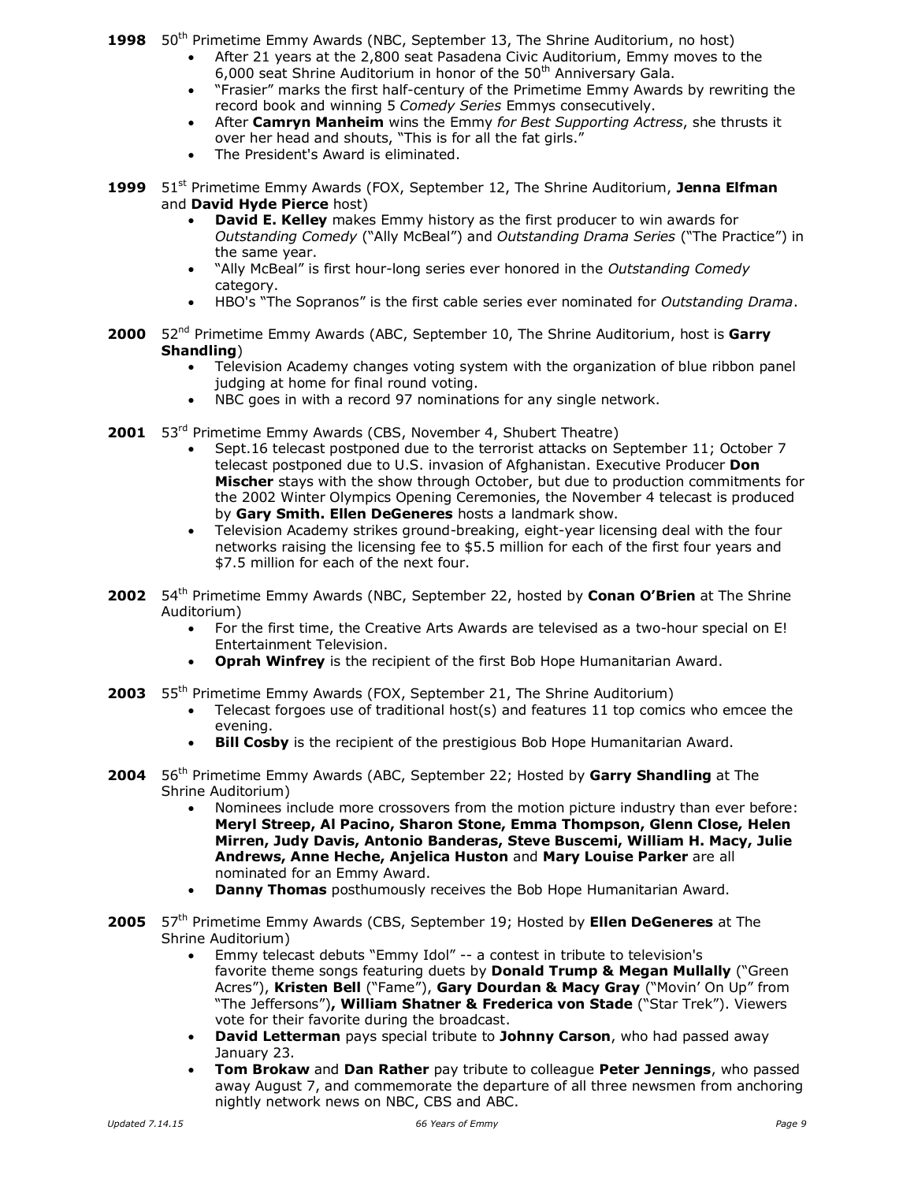1998 50<sup>th</sup> Primetime Emmy Awards (NBC, September 13, The Shrine Auditorium, no host)

- After 21 years at the 2,800 seat Pasadena Civic Auditorium, Emmy moves to the 6,000 seat Shrine Auditorium in honor of the  $50<sup>th</sup>$  Anniversary Gala.
- "Frasier" marks the first half-century of the Primetime Emmy Awards by rewriting the record book and winning 5 *Comedy Series* Emmys consecutively.
- After **Camryn Manheim** wins the Emmy *for Best Supporting Actress*, she thrusts it over her head and shouts, "This is for all the fat girls."
- The President's Award is eliminated.
- **1999** 51st Primetime Emmy Awards (FOX, September 12, The Shrine Auditorium, **Jenna Elfman** and **David Hyde Pierce** host)
	- **David E. Kelley** makes Emmy history as the first producer to win awards for *Outstanding Comedy* ("Ally McBeal") and *Outstanding Drama Series* ("The Practice") in the same year.
	- "Ally McBeal" is first hour-long series ever honored in the *Outstanding Comedy* category.
	- HBO's "The Sopranos" is the first cable series ever nominated for *Outstanding Drama*.
- **2000** 52<sup>nd</sup> Primetime Emmy Awards (ABC, September 10, The Shrine Auditorium, host is Garry **Shandling**)
	- Television Academy changes voting system with the organization of blue ribbon panel judging at home for final round voting.
	- NBC goes in with a record 97 nominations for any single network.
- 2001 53<sup>rd</sup> Primetime Emmy Awards (CBS, November 4, Shubert Theatre)
	- Sept.16 telecast postponed due to the terrorist attacks on September 11; October 7 telecast postponed due to U.S. invasion of Afghanistan. Executive Producer **Don Mischer** stays with the show through October, but due to production commitments for the 2002 Winter Olympics Opening Ceremonies, the November 4 telecast is produced by **Gary Smith. Ellen DeGeneres** hosts a landmark show.
	- Television Academy strikes ground-breaking, eight-year licensing deal with the four networks raising the licensing fee to \$5.5 million for each of the first four years and \$7.5 million for each of the next four.
- 2002 54<sup>th</sup> Primetime Emmy Awards (NBC, September 22, hosted by **Conan O'Brien** at The Shrine Auditorium)
	- For the first time, the Creative Arts Awards are televised as a two-hour special on E! Entertainment Television.
	- **Oprah Winfrey** is the recipient of the first Bob Hope Humanitarian Award.
- **2003** 55th Primetime Emmy Awards (FOX, September 21, The Shrine Auditorium)
	- Telecast forgoes use of traditional host(s) and features 11 top comics who emcee the evening.
	- **Bill Cosby** is the recipient of the prestigious Bob Hope Humanitarian Award.
- **2004** 56th Primetime Emmy Awards (ABC, September 22; Hosted by **Garry Shandling** at The Shrine Auditorium)
	- Nominees include more crossovers from the motion picture industry than ever before: **Meryl Streep, Al Pacino, Sharon Stone, Emma Thompson, Glenn Close, Helen Mirren, Judy Davis, Antonio Banderas, Steve Buscemi, William H. Macy, Julie Andrews, Anne Heche, Anjelica Huston** and **Mary Louise Parker** are all nominated for an Emmy Award.
	- **Danny Thomas** posthumously receives the Bob Hope Humanitarian Award.
- **2005** 57th Primetime Emmy Awards (CBS, September 19; Hosted by **Ellen DeGeneres** at The Shrine Auditorium)
	- Emmy telecast debuts "Emmy Idol" -- a contest in tribute to television's favorite theme songs featuring duets by **Donald Trump & Megan Mullally** ("Green Acres"), **Kristen Bell** ("Fame"), **Gary Dourdan & Macy Gray** ("Movin' On Up" from "The Jeffersons")**, William Shatner & Frederica von Stade** ("Star Trek"). Viewers vote for their favorite during the broadcast.
	- **David Letterman** pays special tribute to **Johnny Carson**, who had passed away January 23.
	- **Tom Brokaw** and **Dan Rather** pay tribute to colleague **Peter Jennings**, who passed away August 7, and commemorate the departure of all three newsmen from anchoring nightly network news on NBC, CBS and ABC.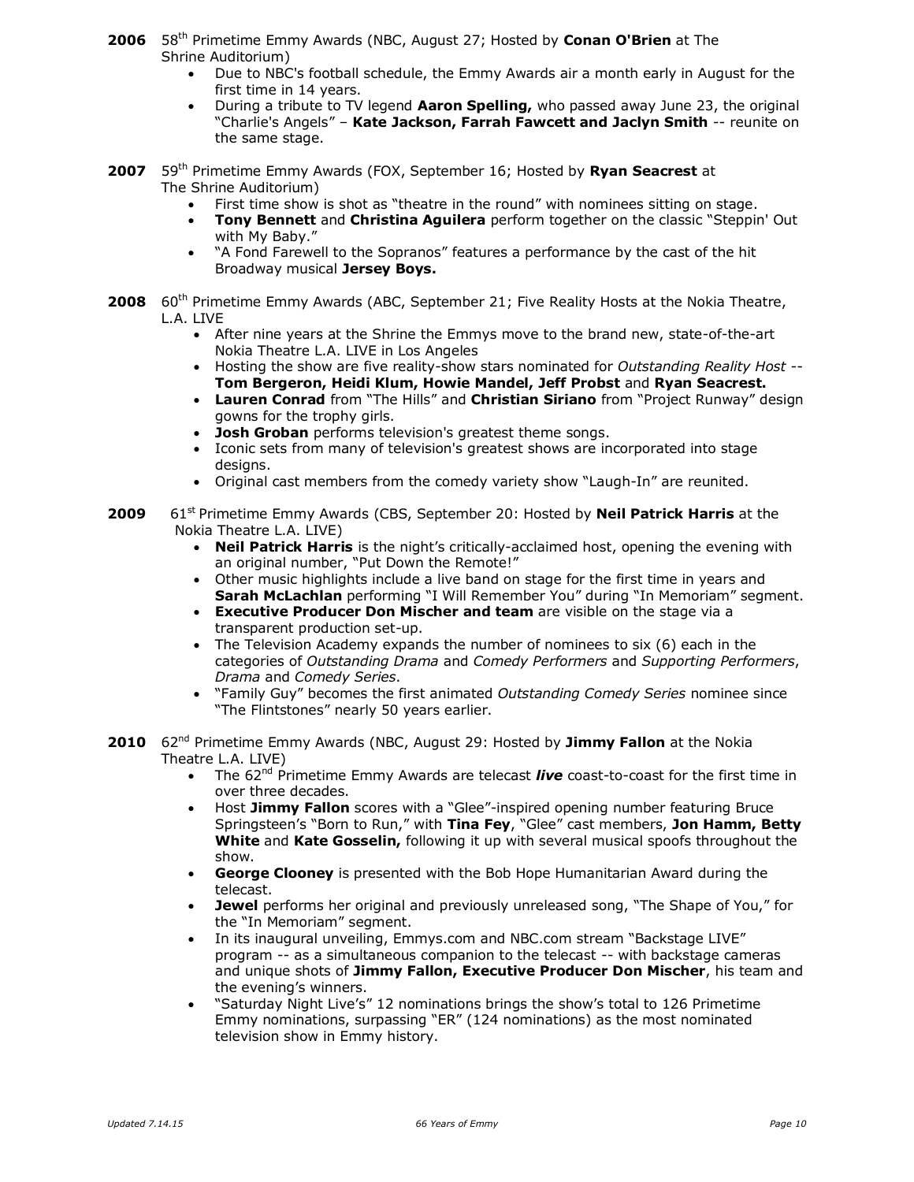- **2006** 58th Primetime Emmy Awards (NBC, August 27; Hosted by **Conan O'Brien** at The Shrine Auditorium)
	- Due to NBC's football schedule, the Emmy Awards air a month early in August for the first time in 14 years.
	- During a tribute to TV legend **Aaron Spelling,** who passed away June 23, the original "Charlie's Angels" – **Kate Jackson, Farrah Fawcett and Jaclyn Smith** -- reunite on the same stage.
- **2007** 59th Primetime Emmy Awards (FOX, September 16; Hosted by **Ryan Seacrest** at The Shrine Auditorium)
	- First time show is shot as "theatre in the round" with nominees sitting on stage.
	- **Tony Bennett** and **Christina Aguilera** perform together on the classic "Steppin' Out with My Baby."
	- "A Fond Farewell to the Sopranos" features a performance by the cast of the hit Broadway musical **Jersey Boys.**
- **2008** 60<sup>th</sup> Primetime Emmy Awards (ABC, September 21; Five Reality Hosts at the Nokia Theatre, L.A. LIVE
	- After nine years at the Shrine the Emmys move to the brand new, state-of-the-art Nokia Theatre L.A. LIVE in Los Angeles
	- Hosting the show are five reality-show stars nominated for *Outstanding Reality Host* -- **Tom Bergeron, Heidi Klum, Howie Mandel, Jeff Probst** and **Ryan Seacrest.**
	- **Lauren Conrad** from "The Hills" and **Christian Siriano** from "Project Runway" design gowns for the trophy girls.
	- **Josh Groban** performs television's greatest theme songs.
	- Iconic sets from many of television's greatest shows are incorporated into stage desians.
	- Original cast members from the comedy variety show "Laugh-In" are reunited.
- **2009** 61<sup>st</sup> Primetime Emmy Awards (CBS, September 20: Hosted by **Neil Patrick Harris** at the Nokia Theatre L.A. LIVE)
	- **Neil Patrick Harris** is the night's critically-acclaimed host, opening the evening with an original number, "Put Down the Remote!"
	- Other music highlights include a live band on stage for the first time in years and **Sarah McLachlan** performing "I Will Remember You" during "In Memoriam" segment.
	- **Executive Producer Don Mischer and team** are visible on the stage via a transparent production set-up.
	- The Television Academy expands the number of nominees to six (6) each in the categories of *Outstanding Drama* and *Comedy Performers* and *Supporting Performers*, *Drama* and *Comedy Series*.
	- "Family Guy" becomes the first animated *Outstanding Comedy Series* nominee since "The Flintstones" nearly 50 years earlier.
- **2010** 62<sup>nd</sup> Primetime Emmy Awards (NBC, August 29: Hosted by Jimmy Fallon at the Nokia Theatre L.A. LIVE)
	- The 62<sup>nd</sup> Primetime Emmy Awards are telecast *live* coast-to-coast for the first time in over three decades.
	- Host **Jimmy Fallon** scores with a "Glee"-inspired opening number featuring Bruce Springsteen's "Born to Run," with **Tina Fey**, "Glee" cast members, **Jon Hamm, Betty White** and **Kate Gosselin,** following it up with several musical spoofs throughout the show.
	- **George Clooney** is presented with the Bob Hope Humanitarian Award during the telecast.
	- **Jewel** performs her original and previously unreleased song, "The Shape of You," for the "In Memoriam" segment.
	- In its inaugural unveiling, Emmys.com and NBC.com stream "Backstage LIVE" program -- as a simultaneous companion to the telecast -- with backstage cameras and unique shots of **Jimmy Fallon, Executive Producer Don Mischer**, his team and the evening's winners.
	- "Saturday Night Live's" 12 nominations brings the show's total to 126 Primetime Emmy nominations, surpassing "ER" (124 nominations) as the most nominated television show in Emmy history.